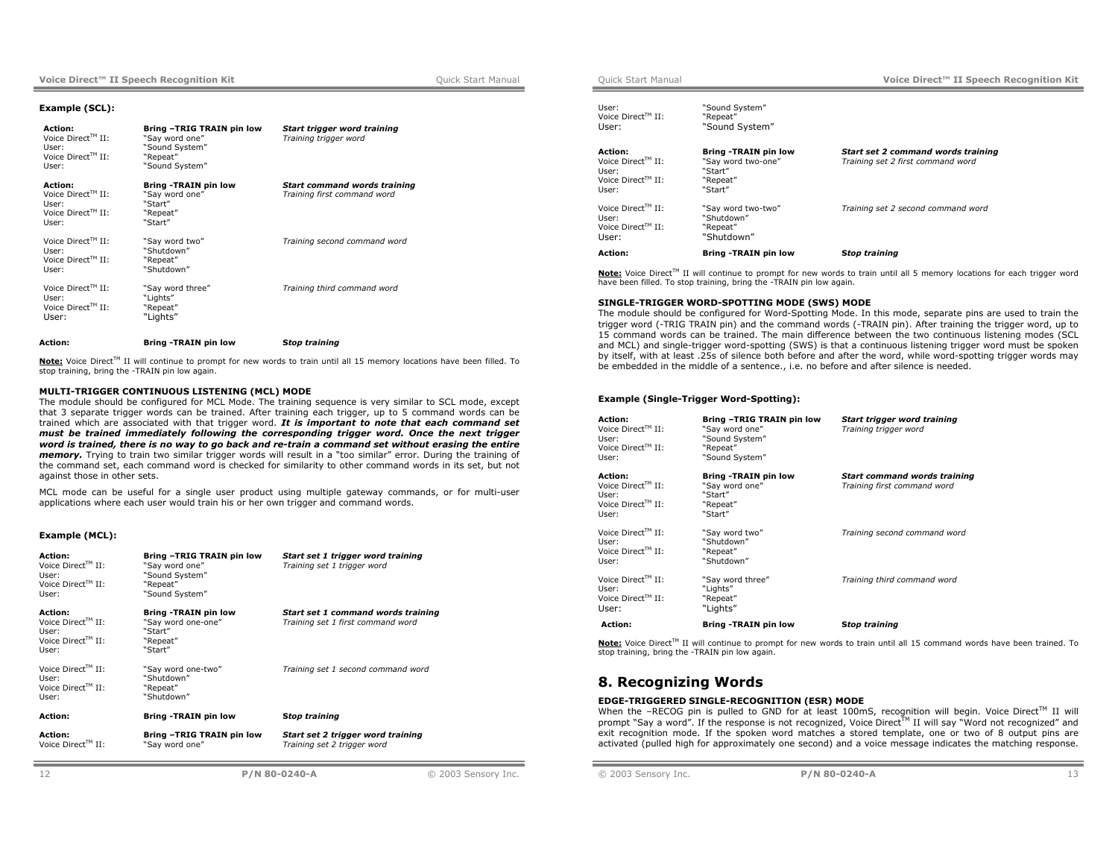### **Example (SCL):**

| <b>Action:</b><br>Voice Direct <sup>TM</sup> II:<br>User:<br>Voice $Direct^{TM}$ II:<br>User: | Bring -TRIG TRAIN pin low<br>"Say word one"<br>"Sound System"<br>"Repeat"<br>"Sound System" | Start trigger word training<br>Training trigger word               |
|-----------------------------------------------------------------------------------------------|---------------------------------------------------------------------------------------------|--------------------------------------------------------------------|
| Action:<br>Voice Direct™ II:<br>User:<br>Voice Direct <sup>TM</sup> II:<br>User:              | <b>Bring -TRAIN pin low</b><br>"Say word one"<br>"Start"<br>"Repeat"<br>"Start"             | <b>Start command words training</b><br>Training first command word |
| Voice Direct™ II:<br>User:<br>Voice Direct <sup>TM</sup> II:<br>User:                         | "Say word two"<br>"Shutdown"<br>"Repeat"<br>"Shutdown"                                      | Training second command word                                       |
| Voice Direct™ II:<br>User:<br>Voice $Direct^{TM}$ II:<br>User:                                | "Say word three"<br>"Liahts"<br>"Repeat"<br>"Lights"                                        | Training third command word                                        |
| Action:                                                                                       | <b>Bring -TRAIN pin low</b>                                                                 | <b>Stop training</b>                                               |

Note: Voice Direct<sup>™</sup> II will continue to prompt for new words to train until all 15 memory locations have been filled. To stop training, bring the -TRAIN pin low again.

# **MULTI-TRIGGER CONTINUOUS LISTENING (MCL) MODE**

The module should be configured for MCL Mode. The training sequence is very similar to SCL mode, except that 3 separate trigger words can be trained. After training each trigger, up to 5 command words can be trained which are associated with that trigger word. *It is important to note that each command set must be trained immediately following the corresponding trigger word. Once the next trigger word is trained, there is no way to go back and re-train a command set without erasing the entire memory.* Trying to train two similar trigger words will result in a "too similar" error. During the training of the command set, each command word is checked for similarity to other command words in its set, but not against those in other sets.

MCL mode can be useful for a single user product using multiple gateway commands, or for multi-user applications where each user would train his or her own trigger and command words.

# **Example (MCL):**

| Action:<br>Voice Direct <sup>TM</sup> II:<br>User:<br>Voice Direct <sup>TM</sup> II:<br>User: | Bring -TRIG TRAIN pin low<br>"Say word one"<br>"Sound System"<br>"Repeat"<br>"Sound System" | Start set 1 trigger word training<br>Training set 1 trigger word        |
|-----------------------------------------------------------------------------------------------|---------------------------------------------------------------------------------------------|-------------------------------------------------------------------------|
| Action:<br>Voice Direct™ II:<br>User:<br>Voice Direct™ II:<br>User:                           | <b>Bring -TRAIN pin low</b><br>"Sav word one-one"<br>"Start"<br>"Repeat"<br>"Start"         | Start set 1 command words training<br>Training set 1 first command word |
| Voice Direct™ II:<br>User:<br>Voice Direct <sup>TM</sup> II:<br>User:                         | "Say word one-two"<br>"Shutdown"<br>"Repeat"<br>"Shutdown"                                  | Training set 1 second command word                                      |
| Action:                                                                                       | <b>Bring -TRAIN pin low</b>                                                                 | <b>Stop training</b>                                                    |
| Action:<br>Voice Direct™ II:                                                                  | Bring -TRIG TRAIN pin low<br>"Say word one"                                                 | Start set 2 trigger word training<br>Training set 2 trigger word        |

| Action:                                                                                              | <b>Bring -TRAIN pin low</b>                                                         | <b>Stop training</b>                                                    |
|------------------------------------------------------------------------------------------------------|-------------------------------------------------------------------------------------|-------------------------------------------------------------------------|
| Voice Direct™ II:<br>User:<br>Voice Direct <sup>TM</sup> II:<br>User:                                | "Sav word two-two"<br>"Shutdown"<br>"Repeat"<br>"Shutdown"                          | Training set 2 second command word                                      |
| <b>Action:</b><br>Voice Direct <sup>TM</sup> II:<br>User:<br>Voice Direct <sup>TM</sup> II:<br>User: | <b>Bring -TRAIN pin low</b><br>"Sav word two-one"<br>"Start"<br>"Repeat"<br>"Start" | Start set 2 command words training<br>Training set 2 first command word |
| User:<br>Voice Direct™ II:<br>User:                                                                  | "Sound System"<br>"Repeat"<br>"Sound System"                                        |                                                                         |

Note: Voice Direct™ II will continue to prompt for new words to train until all 5 memory locations for each trigger word have been filled. To stop training, bring the -TRAIN pin low again.

#### **SINGLE-TRIGGER WORD-SPOTTING MODE (SWS) MODE**

The module should be configured for Word-Spotting Mode. In this mode, separate pins are used to train the trigger word (-TRIG TRAIN pin) and the command words (-TRAIN pin). After training the trigger word, up to 15 command words can be trained. The main difference between the two continuous listening modes (SCL and MCL) and single-trigger word-spotting (SWS) is that a continuous listening trigger word must be spoken by itself, with at least .25s of silence both before and after the word, while word-spotting trigger words may be embedded in the middle of a sentence., i.e. no before and after silence is needed.

### **Example (Single-Trigger Word-Spotting):**

| Action:<br>Voice Direct™ II:<br>User:<br>Voice $Direct^{TM}$ II:<br>User:                        | Bring -TRIG TRAIN pin low<br>"Say word one"<br>"Sound System"<br>"Repeat"<br>"Sound System" | Start trigger word training<br>Training trigger word               |
|--------------------------------------------------------------------------------------------------|---------------------------------------------------------------------------------------------|--------------------------------------------------------------------|
| Action:<br>Voice Direct <sup>TM</sup> $II$ :<br>User:<br>Voice Direct <sup>TM</sup> II:<br>User: | Bring -TRAIN pin low<br>"Say word one"<br>"Start"<br>"Repeat"<br>"Start"                    | <b>Start command words training</b><br>Training first command word |
| Voice Direct™ II:<br>User:<br>Voice Direct™ II:<br>User:                                         | "Say word two"<br>"Shutdown"<br>"Repeat"<br>"Shutdown"                                      | Training second command word                                       |
| Voice Direct™ II:<br>User:<br>Voice Direct <sup>TM</sup> $II$ :<br>User:                         | "Say word three"<br>"Lights"<br>"Repeat"<br>"Lights"                                        | Training third command word                                        |
| Action:                                                                                          | <b>Bring -TRAIN pin low</b>                                                                 | <b>Stop training</b>                                               |

**Note:** Voice Direct<sup>™</sup> II will continue to prompt for new words to train until all 15 command words have been trained. To stop training, bring the -TRAIN pin low again.

# **8. Recognizing Words**

# **EDGE-TRIGGERED SINGLE-RECOGNITION (ESR) MODE**

When the –RECOG pin is pulled to GND for at least 100mS, recognition will begin. Voice Direct<sup>TM</sup> II will prompt "Say a word". If the response is not recognized, Voice Direct™ II will say "Word not recognized" and exit recognition mode. If the spoken word matches a stored template, one or two of 8 output pins are activated (pulled high for approximately one second) and a voice message indicates the matching response.

© 2003 Sensory Inc. **P/N 80-0240-A** 13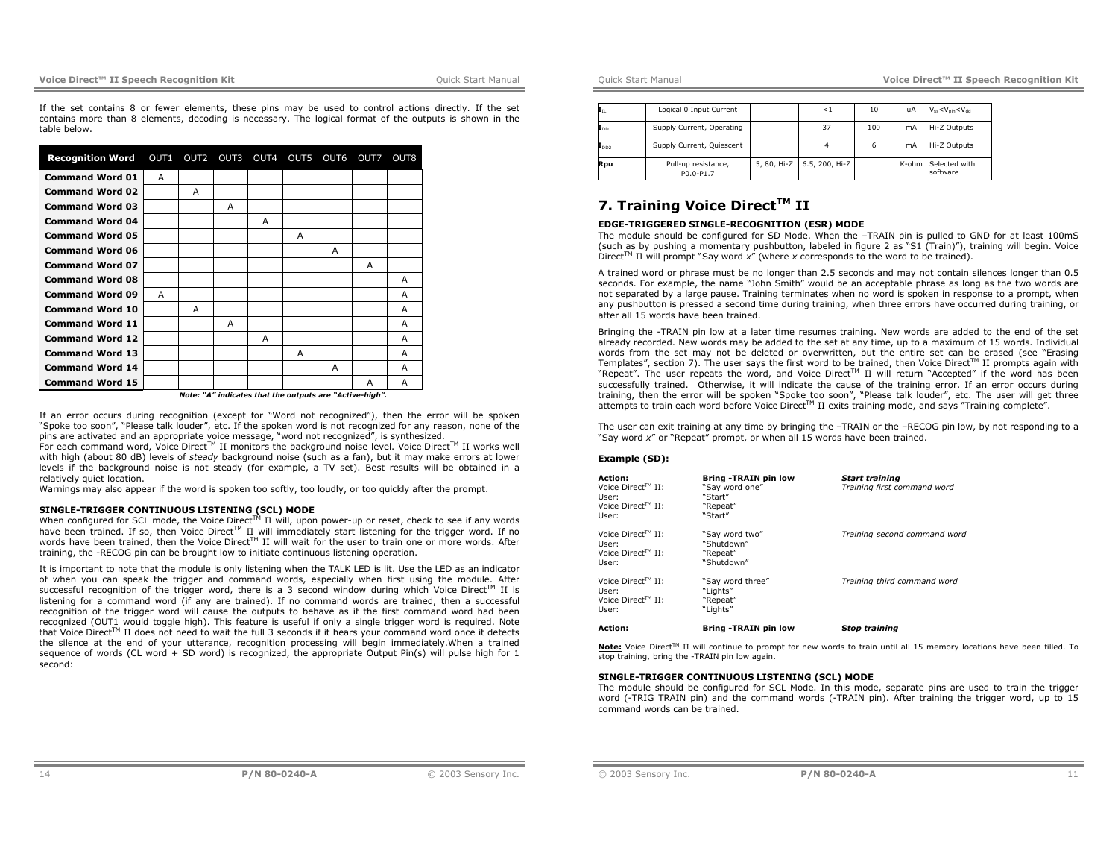# **Voice Direct™ II Speech Recognition Kit and Cuick Start Manual Manual Cuick Start Manual Ouick Start Manual Ouick Start Manual Ouick Start Manual Ouick Start Manual Ouick Start Manual Ouick Start Manual Ouick Start Manua**

If the set contains 8 or fewer elements, these pins may be used to control actions directly. If the set contains more than 8 elements, decoding is necessary. The logical format of the outputs is shown in the table below.

| <b>Recognition Word</b> | OUT1 | OUT <sub>2</sub> | OUT3 | OUT4 | OUT5 | OUT6 | OUT7 | OUT8 |
|-------------------------|------|------------------|------|------|------|------|------|------|
| <b>Command Word 01</b>  | A    |                  |      |      |      |      |      |      |
| <b>Command Word 02</b>  |      | A                |      |      |      |      |      |      |
| <b>Command Word 03</b>  |      |                  | A    |      |      |      |      |      |
| <b>Command Word 04</b>  |      |                  |      | A    |      |      |      |      |
| <b>Command Word 05</b>  |      |                  |      |      | A    |      |      |      |
| <b>Command Word 06</b>  |      |                  |      |      |      | A    |      |      |
| <b>Command Word 07</b>  |      |                  |      |      |      |      | A    |      |
| <b>Command Word 08</b>  |      |                  |      |      |      |      |      | A    |
| <b>Command Word 09</b>  | A    |                  |      |      |      |      |      | A    |
| <b>Command Word 10</b>  |      | A                |      |      |      |      |      | A    |
| <b>Command Word 11</b>  |      |                  | А    |      |      |      |      | A    |
| <b>Command Word 12</b>  |      |                  |      | A    |      |      |      | A    |
| <b>Command Word 13</b>  |      |                  |      |      | A    |      |      | A    |
| <b>Command Word 14</b>  |      |                  |      |      |      | A    |      | A    |
| <b>Command Word 15</b>  |      |                  |      |      |      |      | A    | A    |

 *Note: "A" indicates that the outputs are "Active-high".*

If an error occurs during recognition (except for "Word not recognized"), then the error will be spoken "Spoke too soon", "Please talk louder", etc. If the spoken word is not recognized for any reason, none of the pins are activated and an appropriate voice message, "word not recognized", is synthesized.

For each command word, Voice Direct™ II monitors the background noise level. Voice Direct™ II works well with high (about 80 dB) levels of *steady* background noise (such as a fan), but it may make errors at lower levels if the background noise is not steady (for example, a TV set). Best results will be obtained in a relatively quiet location.

Warnings may also appear if the word is spoken too softly, too loudly, or too quickly after the prompt.

### **SINGLE-TRIGGER CONTINUOUS LISTENING (SCL) MODE**

When configured for SCL mode, the Voice Direct<sup>TM</sup> II will, upon power-up or reset, check to see if any words have been trained. If so, then Voice Direct™ II will immediately start listening for the trigger word. If no words have been trained, then the Voice Direct™ II will wait for the user to train one or more words. After training, the -RECOG pin can be brought low to initiate continuous listening operation.

It is important to note that the module is only listening when the TALK LED is lit. Use the LED as an indicator of when you can speak the trigger and command words, especially when first using the module. After successful recognition of the trigger word, there is a 3 second window during which Voice Direct™ II is listening for a command word (if any are trained). If no command words are trained, then a successful recognition of the trigger word will cause the outputs to behave as if the first command word had been recognized (OUT1 would toggle high). This feature is useful if only a single trigger word is required. Note that Voice Direct $^{\text{\tiny{\textsf{TM}}}}$  II does not need to wait the full 3 seconds if it hears your command word once it detects the silence at the end of your utterance, recognition processing will begin immediately.When a trained sequence of words (CL word + SD word) is recognized, the appropriate Output Pin(s) will pulse high for 1 second:

Quick Start Manual **Voice Direct™ II Speech Recognition Kit**

| $\mathbf{I}_{\rm IL}$       | Logical 0 Input Current          | ${<}1$                     | 10  | uA    | $V_{ss}$ < $V_{pin}$ < $V_{dd}$ |
|-----------------------------|----------------------------------|----------------------------|-----|-------|---------------------------------|
| $\mathbf{I}_{\texttt{DD1}}$ | Supply Current, Operating        | 37                         | 100 | mA    | Hi-Z Outputs                    |
| $\mathbf{I}_{\texttt{DD2}}$ | Supply Current, Quiescent        |                            | 6   | mA    | Hi-Z Outputs                    |
| Rpu                         | Pull-up resistance,<br>P0.0-P1.7 | 5, 80, Hi-Z 6.5, 200, Hi-Z |     | K-ohm | Selected with<br>software       |

# **7. Training Voice DirectTM II**

# **EDGE-TRIGGERED SINGLE-RECOGNITION (ESR) MODE**

The module should be configured for SD Mode. When the –TRAIN pin is pulled to GND for at least 100mS (such as by pushing a momentary pushbutton, labeled in figure 2 as "S1 (Train)"), training will begin. Voice Direct<sup>TM</sup> II will prompt "Say word  $x''$  (where  $x$  corresponds to the word to be trained).

A trained word or phrase must be no longer than 2.5 seconds and may not contain silences longer than 0.5 seconds. For example, the name "John Smith" would be an acceptable phrase as long as the two words are not separated by a large pause. Training terminates when no word is spoken in response to a prompt, when any pushbutton is pressed a second time during training, when three errors have occurred during training, or after all 15 words have been trained.

Bringing the -TRAIN pin low at a later time resumes training. New words are added to the end of the set already recorded. New words may be added to the set at any time, up to a maximum of 15 words. Individual words from the set may not be deleted or overwritten, but the entire set can be erased (see "Erasing Templates", section 7). The user says the first word to be trained, then Voice Direct™ II prompts again with "Repeat". The user repeats the word, and Voice Direct<sup>TM</sup> II will return "Accepted" if the word has been successfully trained. Otherwise, it will indicate the cause of the training error. If an error occurs during training, then the error will be spoken "Spoke too soon", "Please talk louder", etc. The user will get three attempts to train each word before Voice Direct™ II exits training mode, and says "Training complete".

The user can exit training at any time by bringing the –TRAIN or the –RECOG pin low, by not responding to a "Say word *x*" or "Repeat" prompt, or when all 15 words have been trained.

#### **Example (SD):**

| <b>Action:</b><br>Voice Direct <sup>TM</sup> II:<br>User:<br>Voice Direct™ II:<br>User: | <b>Bring -TRAIN pin low</b><br>"Sav word one"<br>"Start"<br>"Repeat"<br>"Start" | <b>Start training</b><br>Training first command word |  |
|-----------------------------------------------------------------------------------------|---------------------------------------------------------------------------------|------------------------------------------------------|--|
| Voice Direct <sup>TM</sup> II:<br>User:<br>Voice Direct <sup>TM</sup> II:<br>User:      | "Sav word two"<br>"Shutdown"<br>"Repeat"<br>"Shutdown"                          | Training second command word                         |  |
| Voice Direct <sup>TM</sup> II:<br>User:<br>Voice Direct <sup>TM</sup> $II$ :<br>User:   | "Sav word three"<br>"Liahts"<br>"Repeat"<br>"Liahts"                            | Training third command word                          |  |
| <b>Action:</b>                                                                          | <b>Bring -TRAIN pin low</b>                                                     | <b>Stop training</b>                                 |  |

Note: Voice Direct<sup>™</sup> II will continue to prompt for new words to train until all 15 memory locations have been filled. To stop training, bring the -TRAIN pin low again.

# **SINGLE-TRIGGER CONTINUOUS LISTENING (SCL) MODE**

The module should be configured for SCL Mode. In this mode, separate pins are used to train the trigger word (-TRIG TRAIN pin) and the command words (-TRAIN pin). After training the trigger word, up to 15 command words can be trained.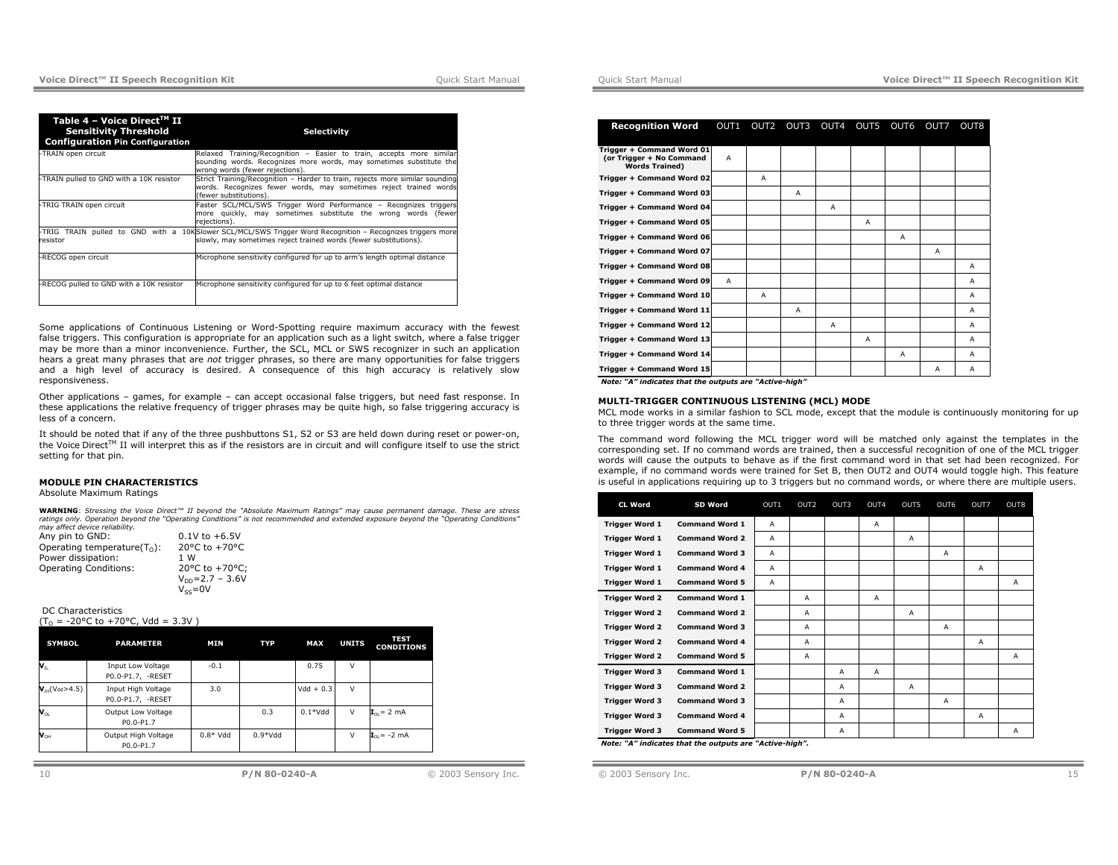| Table 4 - Voice Direct <sup>™</sup> II<br><b>Sensitivity Threshold</b><br><b>Configuration Pin Configuration</b> | <b>Selectivity</b>                                                                                                                                                              |
|------------------------------------------------------------------------------------------------------------------|---------------------------------------------------------------------------------------------------------------------------------------------------------------------------------|
| -TRAIN open circuit                                                                                              | Relaxed Training/Recognition - Easier to train, accepts more similar<br>sounding words. Recognizes more words, may sometimes substitute the<br>wrong words (fewer rejections).  |
| -TRAIN pulled to GND with a 10K resistor                                                                         | Strict Training/Recognition - Harder to train, rejects more similar sounding<br>words. Recognizes fewer words, may sometimes reject trained words<br>(fewer substitutions).     |
| -TRIG TRAIN open circuit                                                                                         | Faster SCL/MCL/SWS Trigger Word Performance - Recognizes triggers<br>more quickly, may sometimes substitute the wrong words (fewer<br>rejections).                              |
| resistor                                                                                                         | -TRIG TRAIN pulled to GND with a 10KSlower SCL/MCL/SWS Trigger Word Recognition - Recognizes triggers more<br>slowly, may sometimes reject trained words (fewer substitutions). |
| -RECOG open circuit                                                                                              | Microphone sensitivity configured for up to arm's length optimal distance                                                                                                       |
| -RECOG pulled to GND with a 10K resistor                                                                         | Microphone sensitivity configured for up to 6 feet optimal distance                                                                                                             |

Some applications of Continuous Listening or Word-Spotting require maximum accuracy with the fewest false triggers. This configuration is appropriate for an application such as a light switch, where a false trigger may be more than a minor inconvenience. Further, the SCL, MCL or SWS recognizer in such an application hears a great many phrases that are *not* trigger phrases, so there are many opportunities for false triggers and a high level of accuracy is desired. A consequence of this high accuracy is relatively slow responsiveness.

Other applications – games, for example – can accept occasional false triggers, but need fast response. In these applications the relative frequency of trigger phrases may be quite high, so false triggering accuracy is less of a concern.

It should be noted that if any of the three pushbuttons S1, S2 or S3 are held down during reset or power-on, the Voice Direct™ II will interpret this as if the resistors are in circuit and will configure itself to use the strict setting for that pin.

#### **MODULE PIN CHARACTERISTICS**

Absolute Maximum Ratings

**WARNING**: *Stressing the Voice Direct™ II beyond the "Absolute Maximum Ratings" may cause permanent damage. These are stress ratings only. Operation beyond the "Operating Conditions" is not recommended and extended exposure beyond the "Operating Conditions" may affect device reliability.* 

| Any pin to GND:                 | $0.1V$ to $+6.5V$     |
|---------------------------------|-----------------------|
| Operating temperature( $T_0$ ): | 20°C to +70°C         |
| Power dissipation:              | 1 W                   |
| <b>Operating Conditions:</b>    | 20°C to +70°C:        |
|                                 | $V_{DD} = 2.7 - 3.6V$ |
|                                 | $V_{ss} = 0V$         |

#### DC Characteristics  $(T<sub>o</sub> = -20°C to +70°C, Vdd = 3.3V)$

| <b>SYMBOL</b>                                  | <b>PARAMETER</b>                        | MIN       | <b>TYP</b> | MAX         | <b>UNITS</b> | TEST<br><b>CONDITIONS</b>            |
|------------------------------------------------|-----------------------------------------|-----------|------------|-------------|--------------|--------------------------------------|
| $\mathsf{v}_\text{\tiny{IL}}$                  | Input Low Voltage<br>P0.0-P1.7, -RESET  | $-0.1$    |            | 0.75        | v            |                                      |
| $V_{\text{TH}}(V_{dd} > 4.5)$                  | Input High Voltage<br>P0.0-P1.7, -RESET | 3.0       |            | $Vdd + 0.3$ | $\vee$       |                                      |
| $\mathbf{v}_{\text{OL}}$                       | Output Low Voltage<br>P0.0-P1.7         |           | 0.3        | $0.1*Vdd$   | $\vee$       | $\mathbf{I}_{\cap I} = 2 \text{ mA}$ |
| $\mathsf{v}_{\scriptscriptstyle{\mathsf{OH}}}$ | Output High Voltage<br>P0.0-P1.7        | $0.8*Vdd$ | $0.9*Vdd$  |             | $\vee$       | $I_{01} = -2$ mA                     |

| <b>Recognition Word</b>                                                        |   |              |   |                | OUT1 OUT2 OUT3 OUT4 OUT5 OUT6 |   | OUT7 | OUT8           |
|--------------------------------------------------------------------------------|---|--------------|---|----------------|-------------------------------|---|------|----------------|
|                                                                                |   |              |   |                |                               |   |      |                |
| Trigger + Command Word 01<br>(or Trigger + No Command<br><b>Words Trained)</b> | A |              |   |                |                               |   |      |                |
| Trigger + Command Word 02                                                      |   | $\mathsf{A}$ |   |                |                               |   |      |                |
| Trigger + Command Word 03                                                      |   |              | A |                |                               |   |      |                |
| Trigger + Command Word 04                                                      |   |              |   | $\overline{A}$ |                               |   |      |                |
| Trigger + Command Word 05                                                      |   |              |   |                | $\overline{A}$                |   |      |                |
| Trigger + Command Word 06                                                      |   |              |   |                |                               | Α |      |                |
| Trigger + Command Word 07                                                      |   |              |   |                |                               |   | Α    |                |
| Trigger + Command Word 08                                                      |   |              |   |                |                               |   |      | $\overline{A}$ |
| Trigger + Command Word 09                                                      | A |              |   |                |                               |   |      | A              |
| Trigger + Command Word 10                                                      |   | $\mathsf{A}$ |   |                |                               |   |      | $\overline{A}$ |
| Trigger + Command Word 11                                                      |   |              | A |                |                               |   |      | $\overline{A}$ |
| Trigger + Command Word 12                                                      |   |              |   | $\overline{A}$ |                               |   |      | $\overline{A}$ |
| Trigger + Command Word 13                                                      |   |              |   |                | $\overline{A}$                |   |      | A              |
| Trigger + Command Word 14                                                      |   |              |   |                |                               | A |      | A              |
| Trigger + Command Word 15                                                      |   |              |   |                |                               |   | A    | A              |

*Note: "A" indicates that the outputs are "Active-high"* 

#### **MULTI-TRIGGER CONTINUOUS LISTENING (MCL) MODE**

MCL mode works in a similar fashion to SCL mode, except that the module is continuously monitoring for up to three trigger words at the same time.

The command word following the MCL trigger word will be matched only against the templates in the corresponding set. If no command words are trained, then a successful recognition of one of the MCL trigger words will cause the outputs to behave as if the first command word in that set had been recognized. For example, if no command words were trained for Set B, then OUT2 and OUT4 would toggle high. This feature is useful in applications requiring up to 3 triggers but no command words, or where there are multiple users.

| <b>CL Word</b>        | SD Word                                                | OUT1 | OUT <sub>2</sub> | OUT3 | OUT4 | OUT5 | OUT6 | OUT7 | OUT8 |
|-----------------------|--------------------------------------------------------|------|------------------|------|------|------|------|------|------|
| <b>Trigger Word 1</b> | <b>Command Word 1</b>                                  | A    |                  |      | Α    |      |      |      |      |
| <b>Trigger Word 1</b> | <b>Command Word 2</b>                                  | A    |                  |      |      | A    |      |      |      |
| <b>Trigger Word 1</b> | <b>Command Word 3</b>                                  | A    |                  |      |      |      | A    |      |      |
| <b>Trigger Word 1</b> | <b>Command Word 4</b>                                  | A    |                  |      |      |      |      | Α    |      |
| <b>Trigger Word 1</b> | <b>Command Word 5</b>                                  | A    |                  |      |      |      |      |      | Α    |
| <b>Trigger Word 2</b> | <b>Command Word 1</b>                                  |      | A                |      | Α    |      |      |      |      |
| <b>Trigger Word 2</b> | <b>Command Word 2</b>                                  |      | A                |      |      | А    |      |      |      |
| <b>Trigger Word 2</b> | <b>Command Word 3</b>                                  |      | A                |      |      |      | A    |      |      |
| <b>Trigger Word 2</b> | <b>Command Word 4</b>                                  |      | A                |      |      |      |      | Α    |      |
| <b>Trigger Word 2</b> | <b>Command Word 5</b>                                  |      | A                |      |      |      |      |      | Α    |
| <b>Trigger Word 3</b> | <b>Command Word 1</b>                                  |      |                  | Α    | Α    |      |      |      |      |
| <b>Trigger Word 3</b> | <b>Command Word 2</b>                                  |      |                  | A    |      | А    |      |      |      |
| <b>Trigger Word 3</b> | <b>Command Word 3</b>                                  |      |                  | Α    |      |      | A    |      |      |
| <b>Trigger Word 3</b> | <b>Command Word 4</b>                                  |      |                  | Α    |      |      |      | Α    |      |
| <b>Trigger Word 3</b> | <b>Command Word 5</b>                                  |      |                  | Α    |      |      |      |      | A    |
|                       | Note: "A" indicates that the outputs are "Active-high" |      |                  |      |      |      |      |      |      |

*Note: "A" indicates that the outputs are "Active-high".*

```
© 2003 Sensory Inc. P/N 80-0240-A 15
```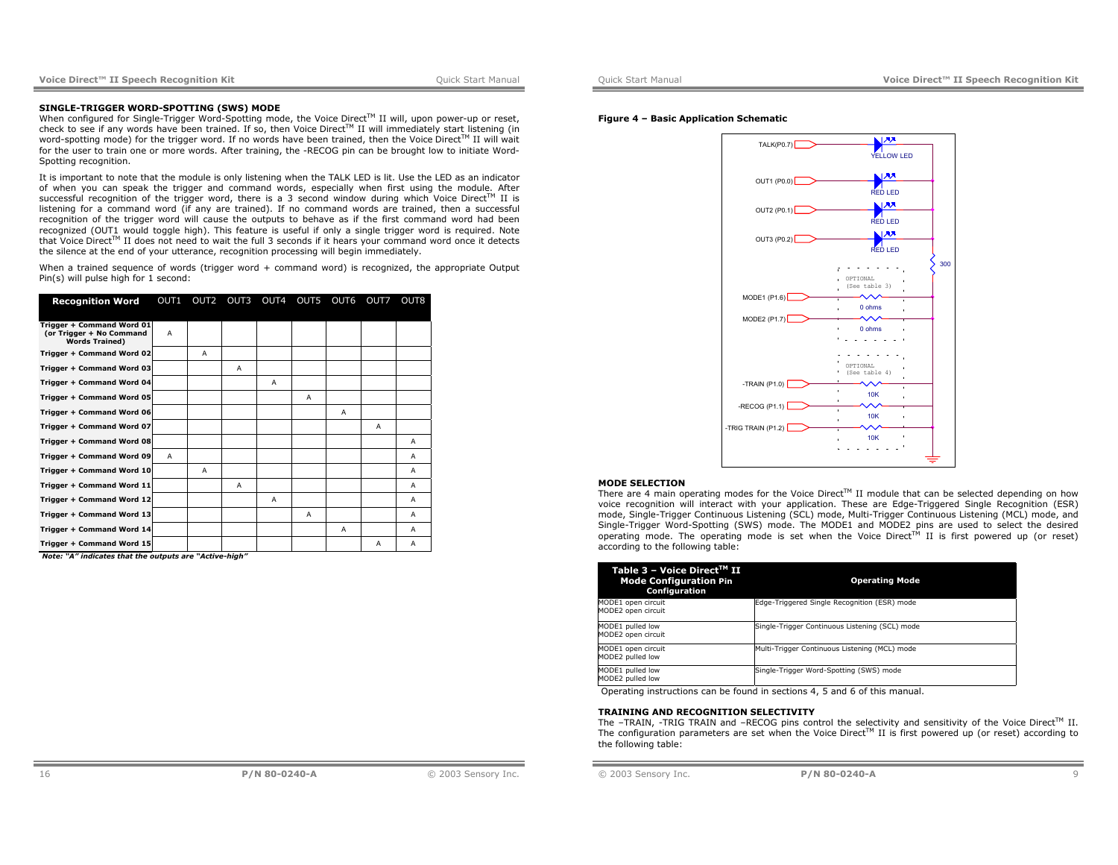#### **SINGLE-TRIGGER WORD-SPOTTING (SWS) MODE**

When configured for Single-Trigger Word-Spotting mode, the Voice Direct™ II will, upon power-up or reset, check to see if any words have been trained. If so, then Voice Direct™ II will immediately start listening (in word-spotting mode) for the trigger word. If no words have been trained, then the Voice Direct™ II will wait for the user to train one or more words. After training, the -RECOG pin can be brought low to initiate Word-Spotting recognition.

It is important to note that the module is only listening when the TALK LED is lit. Use the LED as an indicator of when you can speak the trigger and command words, especially when first using the module. After successful recognition of the trigger word, there is a 3 second window during which Voice Direct™ II is listening for a command word (if any are trained). If no command words are trained, then a successful recognition of the trigger word will cause the outputs to behave as if the first command word had been recognized (OUT1 would toggle high). This feature is useful if only a single trigger word is required. Note that Voice Direct™ II does not need to wait the full 3 seconds if it hears your command word once it detects the silence at the end of your utterance, recognition processing will begin immediately.

When a trained sequence of words (trigger word + command word) is recognized, the appropriate Output Pin(s) will pulse high for 1 second:

| <b>Recognition Word</b>                                                        |                | OUT1 OUT2 OUT3 OUT4 OUT5 OUT6 OUT7 |   |                |   |   |   | OUT <sub>8</sub> |
|--------------------------------------------------------------------------------|----------------|------------------------------------|---|----------------|---|---|---|------------------|
|                                                                                |                |                                    |   |                |   |   |   |                  |
| Trigger + Command Word 01<br>(or Trigger + No Command<br><b>Words Trained)</b> | A              |                                    |   |                |   |   |   |                  |
| Trigger + Command Word 02                                                      |                | A                                  |   |                |   |   |   |                  |
| Trigger + Command Word 03                                                      |                |                                    | A |                |   |   |   |                  |
| Trigger + Command Word 04                                                      |                |                                    |   | $\overline{A}$ |   |   |   |                  |
| Trigger + Command Word 05                                                      |                |                                    |   |                | A |   |   |                  |
| Trigger + Command Word 06                                                      |                |                                    |   |                |   | A |   |                  |
| Trigger + Command Word 07                                                      |                |                                    |   |                |   |   | Α |                  |
| Trigger + Command Word 08                                                      |                |                                    |   |                |   |   |   | A                |
| Trigger + Command Word 09                                                      | $\overline{A}$ |                                    |   |                |   |   |   | A                |
| Trigger + Command Word 10                                                      |                | A                                  |   |                |   |   |   | A                |
| Trigger + Command Word 11                                                      |                |                                    | Α |                |   |   |   | A                |
| Trigger + Command Word 12                                                      |                |                                    |   | A              |   |   |   | A                |
| Trigger + Command Word 13                                                      |                |                                    |   |                | A |   |   | A                |
| Trigger + Command Word 14                                                      |                |                                    |   |                |   | A |   | A                |
| Trigger + Command Word 15                                                      |                |                                    |   |                |   |   | A | A                |

*Note: "A" indicates that the outputs are "Active-high"*

### **Figure 4 – Basic Application Schematic**



### **MODE SELECTION**

There are 4 main operating modes for the Voice Direct<sup>TM</sup> II module that can be selected depending on how voice recognition will interact with your application. These are Edge-Triggered Single Recognition (ESR) mode, Single-Trigger Continuous Listening (SCL) mode, Multi-Trigger Continuous Listening (MCL) mode, and Single-Trigger Word-Spotting (SWS) mode. The MODE1 and MODE2 pins are used to select the desired operating mode. The operating mode is set when the Voice Direct<sup>TM</sup> II is first powered up (or reset) according to the following table:

| Table 3 – Voice Direct™ II<br><b>Mode Configuration Pin</b><br>Configuration | <b>Operating Mode</b>                          |
|------------------------------------------------------------------------------|------------------------------------------------|
| MODE1 open circuit<br>MODE2 open circuit                                     | Edge-Triggered Single Recognition (ESR) mode   |
| MODE1 pulled low<br>MODE2 open circuit                                       | Single-Trigger Continuous Listening (SCL) mode |
| MODE1 open circuit<br>MODE2 pulled low                                       | Multi-Trigger Continuous Listening (MCL) mode  |
| MODE1 pulled low<br>MODE2 pulled low                                         | Single-Trigger Word-Spotting (SWS) mode        |

Operating instructions can be found in sections 4, 5 and 6 of this manual.

### **TRAINING AND RECOGNITION SELECTIVITY**

The –TRAIN, -TRIG TRAIN and –RECOG pins control the selectivity and sensitivity of the Voice Direct $\texttt{TM}$  II. The configuration parameters are set when the Voice Direct<sup>TM</sup> II is first powered up (or reset) according to the following table: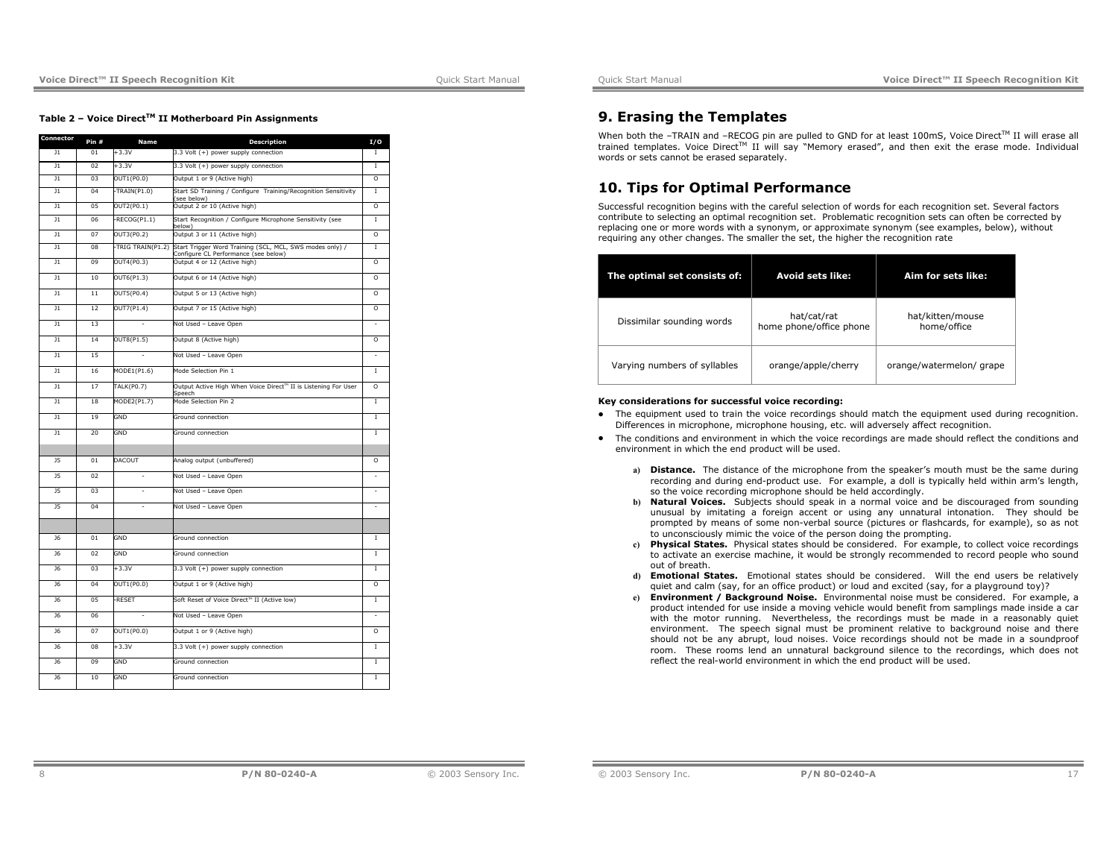### **Table 2 – Voice DirectTM II Motherboard Pin Assignments**

| Connector       | Pin #          | Name                           | <b>Description</b>                                                                               | I/O            |
|-----------------|----------------|--------------------------------|--------------------------------------------------------------------------------------------------|----------------|
| $_{11}$         | 01             | $+3.3V$                        | 3.3 Volt (+) power supply connection                                                             | т              |
| $\overline{11}$ | 02             | $+3.3V$                        | 3.3 Volt (+) power supply connection                                                             | T              |
| $\overline{11}$ | 0 <sup>3</sup> | OUT1(P0.0)                     | Output 1 or 9 (Active high)                                                                      | $\overline{0}$ |
| $\overline{11}$ | 04             | $-TRAIN(P1.0)$                 | Start SD Training / Configure Training/Recognition Sensitivity<br>see below)                     | T.             |
| $_{11}$         | 05             | OUT2(PO.1)                     | Output 2 or 10 (Active high)                                                                     | $\circ$        |
| $\overline{11}$ | 06             | $-RECOG( P1.1)$                | Start Recognition / Configure Microphone Sensitivity (see<br>helow)                              | T              |
| $\overline{11}$ | 07             | OUT3(P0.2)                     | Output 3 or 11 (Active high)                                                                     | $\overline{0}$ |
| $_{11}$         | 08             | -TRIG TRAIN(P1.2)              | Start Trigger Word Training (SCL, MCL, SWS modes only) /<br>Configure CL Performance (see below) | $\mathbf I$    |
| $\overline{11}$ | 09             | OUT4(P0.3)                     | Output 4 or 12 (Active high)                                                                     | $\overline{0}$ |
| $_{\rm J1}$     | 10             | OUT6(P1.3)                     | Output 6 or 14 (Active high)                                                                     | O              |
| $_{11}$         | 11             | OUT5(PO.4)                     | Output 5 or 13 (Active high)                                                                     | $\Omega$       |
| $_{11}$         | 12             | OUT7(P1.4)                     | Output 7 or 15 (Active high)                                                                     | O              |
| $\overline{11}$ | 13             |                                | Not Used - Leave Open                                                                            |                |
| $_{11}$         | 14             | OUT8(P1.5)                     | Output 8 (Active high)                                                                           | O              |
| $_{11}$         | 15             | L.                             | Not Used - Leave Open                                                                            | ä,             |
| $\overline{11}$ | 16             | MODE1(P1.6)                    | Mode Selection Pin 1                                                                             | T              |
| $_{11}$         | 17             | $\overline{\text{TALK}}(P0.7)$ | Output Active High When Voice Direct™ II is Listening For User<br>Speech                         | $\overline{0}$ |
| $_{11}$         | 18             | MODE2(P1.7)                    | Mode Selection Pin 2                                                                             | Ī.             |
| $\overline{11}$ | 19             | GND                            | Ground connection                                                                                | T              |
| $_{11}$         | 20             | GND                            | Ground connection                                                                                | $\mathbf I$    |
|                 |                |                                |                                                                                                  |                |
| 15              | 01             | <b>DACOUT</b>                  | Analog output (unbuffered)                                                                       | $\Omega$       |
| $\overline{15}$ | 02             |                                | Not Used - Leave Open                                                                            |                |
| $\overline{15}$ | 03             | ä,                             | Not Used - Leave Open                                                                            | ÷              |
| 15              | 04             | ä,                             | Not Used - Leave Open                                                                            | ä,             |
|                 |                |                                |                                                                                                  |                |
| J6              | 01             | GND                            | Ground connection                                                                                | $\mathbf I$    |
| <b>J6</b>       | 02             | GND                            | Ground connection                                                                                | I              |
| 16              | 0 <sup>3</sup> | $+3.3V$                        | 3.3 Volt (+) power supply connection                                                             | т              |
| <b>J6</b>       | 04             | OUT1(P0.0)                     | Output 1 or 9 (Active high)                                                                      | O              |
| <b>J6</b>       | 0 <sub>5</sub> | -RESET                         | Soft Reset of Voice Direct™ II (Active low)                                                      | I              |
| <b>J6</b>       | 06             |                                | Not Used - Leave Open                                                                            | ٠              |
| <b>J6</b>       | 07             | OUT1(P0.0)                     | Output 1 or 9 (Active high)                                                                      | $\circ$        |
| J6              | 08             | $+3.3V$                        | 3.3 Volt (+) power supply connection                                                             | T              |
| <b>J6</b>       | 09             | GND                            | Ground connection                                                                                | I              |
| <b>J6</b>       | 10             | GND                            | Ground connection                                                                                | I              |

# **9. Erasing the Templates**

When both the -TRAIN and -RECOG pin are pulled to GND for at least 100mS, Voice Direct™ II will erase all trained templates. Voice Direct™ II will say "Memory erased", and then exit the erase mode. Individual words or sets cannot be erased separately.

# **10. Tips for Optimal Performance**

Successful recognition begins with the careful selection of words for each recognition set. Several factors contribute to selecting an optimal recognition set. Problematic recognition sets can often be corrected by replacing one or more words with a synonym, or approximate synonym (see examples, below), without requiring any other changes. The smaller the set, the higher the recognition rate

| The optimal set consists of: | Avoid sets like:                       | Aim for sets like:              |
|------------------------------|----------------------------------------|---------------------------------|
| Dissimilar sounding words    | hat/cat/rat<br>home phone/office phone | hat/kitten/mouse<br>home/office |
| Varying numbers of syllables | orange/apple/cherry                    | orange/watermelon/grape         |

### **Key considerations for successful voice recording:**

- The equipment used to train the voice recordings should match the equipment used during recognition. Differences in microphone, microphone housing, etc. will adversely affect recognition.
- The conditions and environment in which the voice recordings are made should reflect the conditions and environment in which the end product will be used.
	- **a) Distance.** The distance of the microphone from the speaker's mouth must be the same during recording and during end-product use. For example, a doll is typically held within arm's length, so the voice recording microphone should be held accordingly.
	- **b) Natural Voices.** Subjects should speak in a normal voice and be discouraged from sounding unusual by imitating a foreign accent or using any unnatural intonation. They should be prompted by means of some non-verbal source (pictures or flashcards, for example), so as not to unconsciously mimic the voice of the person doing the prompting.
	- **c) Physical States.** Physical states should be considered. For example, to collect voice recordings to activate an exercise machine, it would be strongly recommended to record people who sound out of breath.
	- **d) Emotional States.** Emotional states should be considered. Will the end users be relatively quiet and calm (say, for an office product) or loud and excited (say, for a playground toy)?
	- **e) Environment / Background Noise.** Environmental noise must be considered. For example, a product intended for use inside a moving vehicle would benefit from samplings made inside a car with the motor running. Nevertheless, the recordings must be made in a reasonably quiet environment. The speech signal must be prominent relative to background noise and there should not be any abrupt, loud noises. Voice recordings should not be made in a soundproof room. These rooms lend an unnatural background silence to the recordings, which does not reflect the real-world environment in which the end product will be used.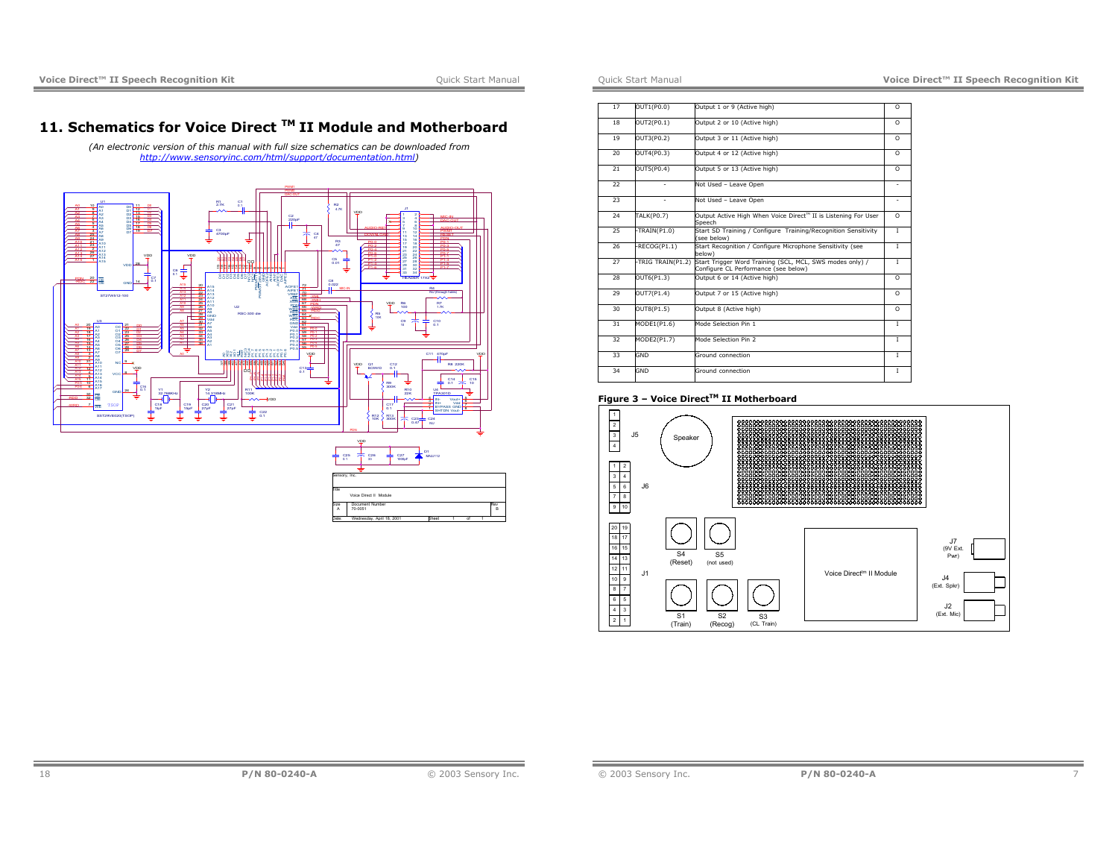# **11. Schematics for Voice Direct TM II Module and Motherboard**

*(An electronic version of this manual with full size schematics can be downloaded from http://www.sensoryinc.com/html/support/documentation.html)* 





| 17 | OUT1(P0.0)        | Output 1 or 9 (Active high)                                                                      | $\Omega$       |
|----|-------------------|--------------------------------------------------------------------------------------------------|----------------|
|    |                   |                                                                                                  |                |
| 18 | OUT2(P0.1)        | Output 2 or 10 (Active high)                                                                     | $\Omega$       |
| 19 | OUT3(P0.2)        | Output 3 or 11 (Active high)                                                                     | $\Omega$       |
| 20 | OUT4(P0.3)        | Output 4 or 12 (Active high)                                                                     | $\Omega$       |
| 21 | OUT5(P0.4)        | Output 5 or 13 (Active high)                                                                     | $\Omega$       |
| 22 |                   | Not Used - Leave Open                                                                            |                |
| 23 |                   | Not Used - Leave Open                                                                            |                |
| 24 | <b>TALK(PO.7)</b> | Output Active High When Voice Direct <sup>™</sup> II is Listening For User<br>Sneech             | $\Omega$       |
| 25 | TRAIN(P1.0)       | Start SD Training / Configure Training/Recognition Sensitivity<br>(see below)                    | $\mathbf{L}$   |
| 26 | RECOG(P1.1)       | Start Recognition / Configure Microphone Sensitivity (see<br>below)                              | $\mathbf{L}$   |
| 27 | -TRIG TRAIN(P1.2) | Start Trigger Word Training (SCL, MCL, SWS modes only) /<br>Configure CL Performance (see below) | Ī              |
| 28 | OUT6(P1.3)        | Output 6 or 14 (Active high)                                                                     | $\overline{0}$ |
| 29 | OUT7(P1.4)        | Output 7 or 15 (Active high)                                                                     | $\Omega$       |
| 30 | OUT8(P1.5)        | Output 8 (Active high)                                                                           | O              |
| 31 | MODE1(P1.6)       | Mode Selection Pin 1                                                                             | I              |
| 32 | MODE2(P1.7)       | Mode Selection Pin 2                                                                             | $\mathbf{L}$   |
| 33 | GND               | Ground connection                                                                                | $\mathbf{I}$   |
| 34 | GND               | Ground connection                                                                                | $\mathbf{I}$   |

# **Figure 3 – Voice DirectTM II Motherboard**

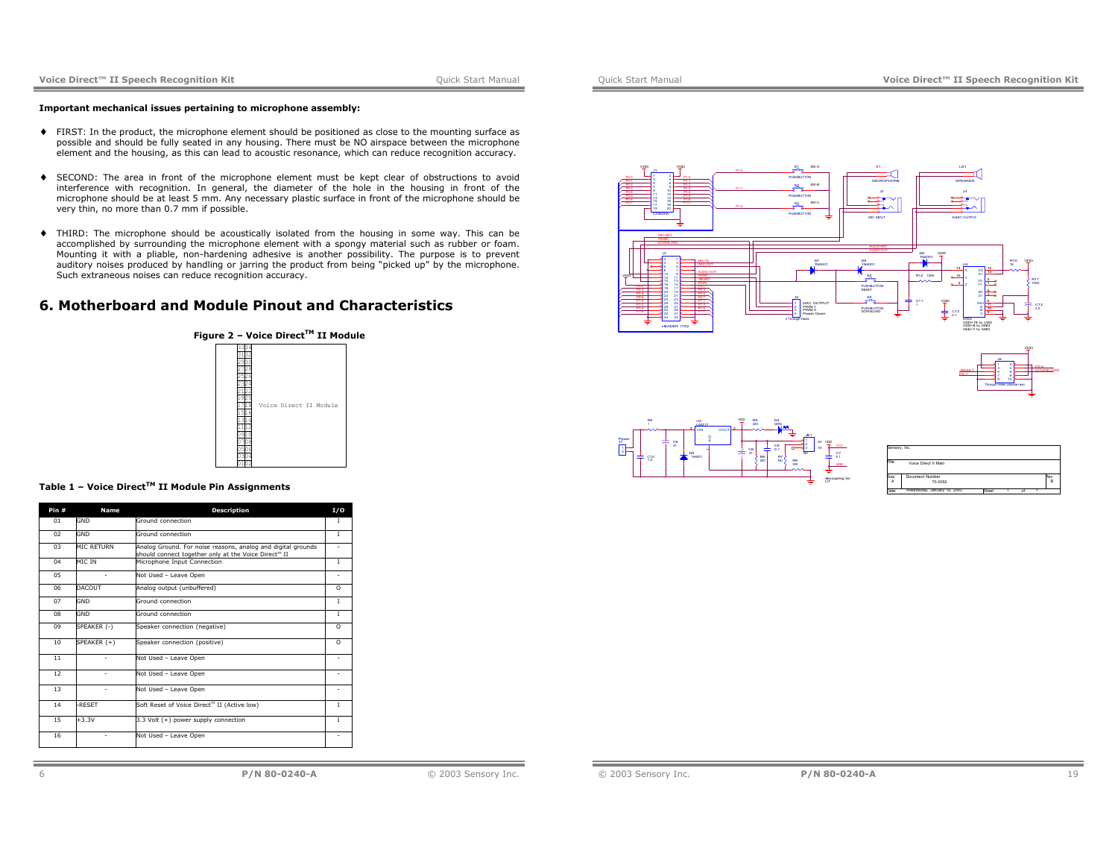### **Important mechanical issues pertaining to microphone assembly:**

- ♦ FIRST: In the product, the microphone element should be positioned as close to the mounting surface as possible and should be fully seated in any housing. There must be NO airspace between the microphone element and the housing, as this can lead to acoustic resonance, which can reduce recognition accuracy.
- ♦ SECOND: The area in front of the microphone element must be kept clear of obstructions to avoid interference with recognition. In general, the diameter of the hole in the housing in front of the microphone should be at least 5 mm. Any necessary plastic surface in front of the microphone should be very thin, no more than 0.7 mm if possible.
- ♦ THIRD: The microphone should be acoustically isolated from the housing in some way. This can be accomplished by surrounding the microphone element with a spongy material such as rubber or foam. Mounting it with a pliable, non-hardening adhesive is another possibility. The purpose is to prevent auditory noises produced by handling or jarring the product from being "picked up" by the microphone. Such extraneous noises can reduce recognition accuracy.

# **6. Motherboard and Module Pinout and Characteristics**



# **Table 1 – Voice DirectTM II Module Pin Assignments**

| Pin #          | <b>Name</b>  | <b>Description</b>                                                                                                   | I/O          |
|----------------|--------------|----------------------------------------------------------------------------------------------------------------------|--------------|
| 01             | GND          | Ground connection                                                                                                    | 1            |
| 02             | GND          | Ground connection                                                                                                    | $\mathbf I$  |
| 0 <sup>3</sup> | MIC RETURN   | Analog Ground. For noise reasons, analog and digital grounds<br>should connect together only at the Voice Direct™ II |              |
| 04             | MIC IN       | Microphone Input Connection                                                                                          | T            |
| 05             | ٠            | Not Used - Leave Open                                                                                                | ٠            |
| 06             | DACOUT       | Analog output (unbuffered)                                                                                           | $\Omega$     |
| 07             | GND          | Ground connection                                                                                                    | T.           |
| 08             | GND          | Ground connection                                                                                                    | T            |
| 09             | SPEAKER (-)  | Speaker connection (negative)                                                                                        | $\Omega$     |
| 10             | SPEAKER (+)  | Speaker connection (positive)                                                                                        | $\Omega$     |
| 11             |              | Not Used - Leave Open                                                                                                |              |
| 12             | ٠            | Not Used - Leave Open                                                                                                |              |
| 13             | ٠            | Not Used - Leave Open                                                                                                |              |
| 14             | <b>RESET</b> | Soft Reset of Voice Direct™ II (Active low)                                                                          | $\mathbf{L}$ |
| 15             | $+3.3V$      | 3.3 Volt (+) power supply connection                                                                                 | $\mathbf{L}$ |
| 16             | ۰            | Not Used - Leave Open                                                                                                |              |





| Sensory, Inc. |                             |       |  |     |
|---------------|-----------------------------|-------|--|-----|
| Title         | Voice Direct II Main        |       |  |     |
| Size          | Document Number             |       |  | Res |
| A             | 70-0052                     |       |  | B   |
| Date          | Wednesday, January 15, 2003 | Sheet |  |     |

-RESET

P0-1

VDD

DOWNLOAD

Through Holes (double raw) 1 23 45 67 89 10

P0-0

© 2003 Sensory Inc. **P/N 80-0240-A** 19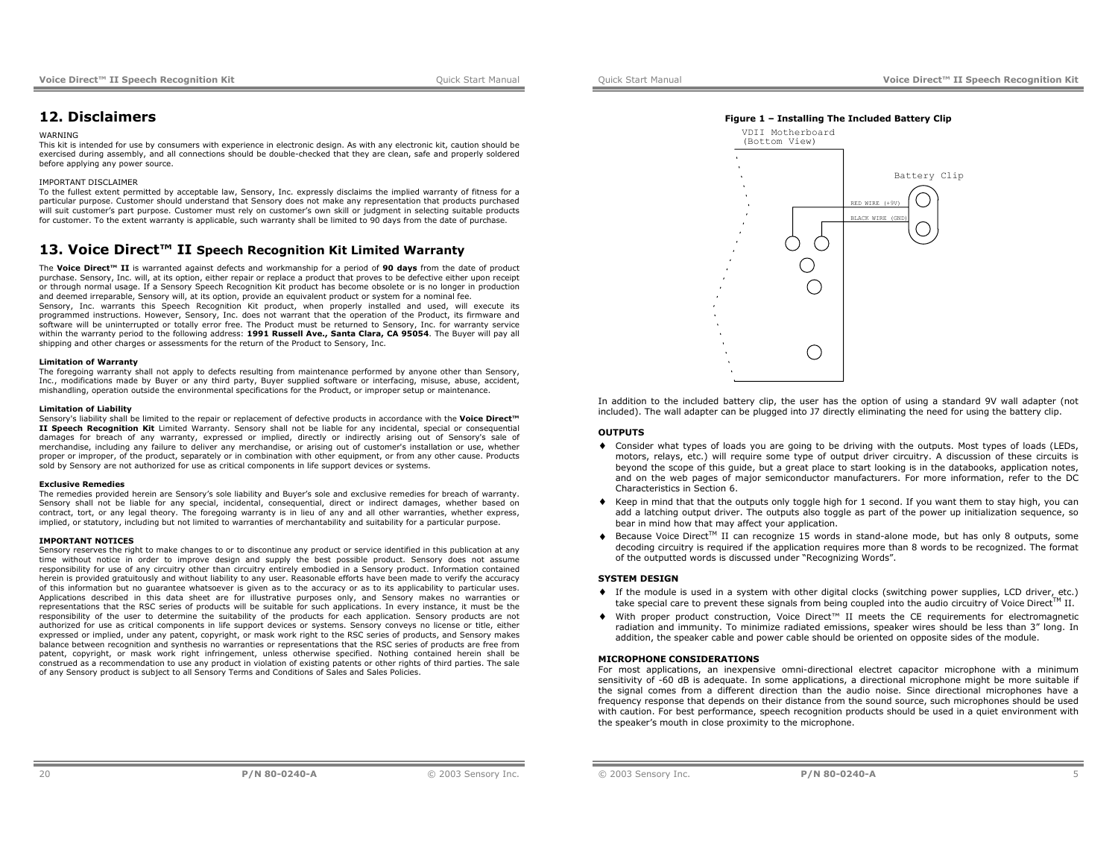# **12. Disclaimers**

#### **WARNING**

 This kit is intended for use by consumers with experience in electronic design. As with any electronic kit, caution should be exercised during assembly, and all connections should be double-checked that they are clean, safe and properly soldered before applying any power source.

### IMPORTANT DISCLAIMER

 To the fullest extent permitted by acceptable law, Sensory, Inc. expressly disclaims the implied warranty of fitness for a particular purpose. Customer should understand that Sensory does not make any representation that products purchased will suit customer's part purpose. Customer must rely on customer's own skill or judgment in selecting suitable products for customer. To the extent warranty is applicable, such warranty shall be limited to 90 days from the date of purchase.

# **13. Voice Direct™ II Speech Recognition Kit Limited Warranty**

The **Voice Direct™ II** is warranted against defects and workmanship for a period of **90 days** from the date of product purchase. Sensory, Inc. will, at its option, either repair or replace a product that proves to be defective either upon receipt or through normal usage. If a Sensory Speech Recognition Kit product has become obsolete or is no longer in production and deemed irreparable, Sensory will, at its option, provide an equivalent product or system for a nominal fee. Sensory, Inc. warrants this Speech Recognition Kit product, when properly installed and used, will execute its programmed instructions. However, Sensory, Inc. does not warrant that the operation of the Product, its firmware and software will be uninterrupted or totally error free. The Product must be returned to Sensory, Inc. for warranty service within the warranty period to the following address: **1991 Russell Ave., Santa Clara, CA 95054**. The Buyer will pay all shipping and other charges or assessments for the return of the Product to Sensory, Inc.

#### **Limitation of Warranty**

The foregoing warranty shall not apply to defects resulting from maintenance performed by anyone other than Sensory, Inc., modifications made by Buyer or any third party, Buyer supplied software or interfacing, misuse, abuse, accident, mishandling, operation outside the environmental specifications for the Product, or improper setup or maintenance.

#### **Limitation of Liability**

Sensory's liability shall be limited to the repair or replacement of defective products in accordance with the **Voice Direct™ II Speech Recognition Kit** Limited Warranty. Sensory shall not be liable for any incidental, special or consequential damages for breach of any warranty, expressed or implied, directly or indirectly arising out of Sensory's sale of merchandise, including any failure to deliver any merchandise, or arising out of customer's installation or use, whether proper or improper, of the product, separately or in combination with other equipment, or from any other cause. Products sold by Sensory are not authorized for use as critical components in life support devices or systems.

#### **Exclusive Remedies**

 The remedies provided herein are Sensory's sole liability and Buyer's sole and exclusive remedies for breach of warranty. Sensory shall not be liable for any special, incidental, consequential, direct or indirect damages, whether based on contract, tort, or any legal theory. The foregoing warranty is in lieu of any and all other warranties, whether express, implied, or statutory, including but not limited to warranties of merchantability and suitability for a particular purpose.

#### **IMPORTANT NOTICES**

 Sensory reserves the right to make changes to or to discontinue any product or service identified in this publication at any time without notice in order to improve design and supply the best possible product. Sensory does not assume responsibility for use of any circuitry other than circuitry entirely embodied in a Sensory product. Information contained herein is provided gratuitously and without liability to any user. Reasonable efforts have been made to verify the accuracy of this information but no guarantee whatsoever is given as to the accuracy or as to its applicability to particular uses. Applications described in this data sheet are for illustrative purposes only, and Sensory makes no warranties or representations that the RSC series of products will be suitable for such applications. In every instance, it must be the responsibility of the user to determine the suitability of the products for each application. Sensory products are not authorized for use as critical components in life support devices or systems. Sensory conveys no license or title, either expressed or implied, under any patent, copyright, or mask work right to the RSC series of products, and Sensory makes balance between recognition and synthesis no warranties or representations that the RSC series of products are free from patent, copyright, or mask work right infringement, unless otherwise specified. Nothing contained herein shall be construed as a recommendation to use any product in violation of existing patents or other rights of third parties. The sale of any Sensory product is subject to all Sensory Terms and Conditions of Sales and Sales Policies.



In addition to the included battery clip, the user has the option of using a standard 9V wall adapter (not included). The wall adapter can be plugged into J7 directly eliminating the need for using the battery clip.

### **OUTPUTS**

- ♦ Consider what types of loads you are going to be driving with the outputs. Most types of loads (LEDs, motors, relays, etc.) will require some type of output driver circuitry. A discussion of these circuits is beyond the scope of this guide, but a great place to start looking is in the databooks, application notes, and on the web pages of major semiconductor manufacturers. For more information, refer to the DC Characteristics in Section 6.
- ♦ Keep in mind that that the outputs only toggle high for 1 second. If you want them to stay high, you can add a latching output driver. The outputs also toggle as part of the power up initialization sequence, so bear in mind how that may affect your application.
- $\blacklozenge$  Because Voice Direct<sup>TM</sup> II can recognize 15 words in stand-alone mode, but has only 8 outputs, some decoding circuitry is required if the application requires more than 8 words to be recognized. The format of the outputted words is discussed under "Recognizing Words".

### **SYSTEM DESIGN**

- ♦ If the module is used in a system with other digital clocks (switching power supplies, LCD driver, etc.) take special care to prevent these signals from being coupled into the audio circuitry of Voice Direct<sup>TM</sup> II.
- ♦ With proper product construction, Voice Direct™ II meets the CE requirements for electromagnetic radiation and immunity. To minimize radiated emissions, speaker wires should be less than 3" long. In addition, the speaker cable and power cable should be oriented on opposite sides of the module.

#### **MICROPHONE CONSIDERATIONS**

 For most applications, an inexpensive omni-directional electret capacitor microphone with a minimum sensitivity of -60 dB is adequate. In some applications, a directional microphone might be more suitable if the signal comes from a different direction than the audio noise. Since directional microphones have a frequency response that depends on their distance from the sound source, such microphones should be used with caution. For best performance, speech recognition products should be used in a quiet environment with the speaker's mouth in close proximity to the microphone.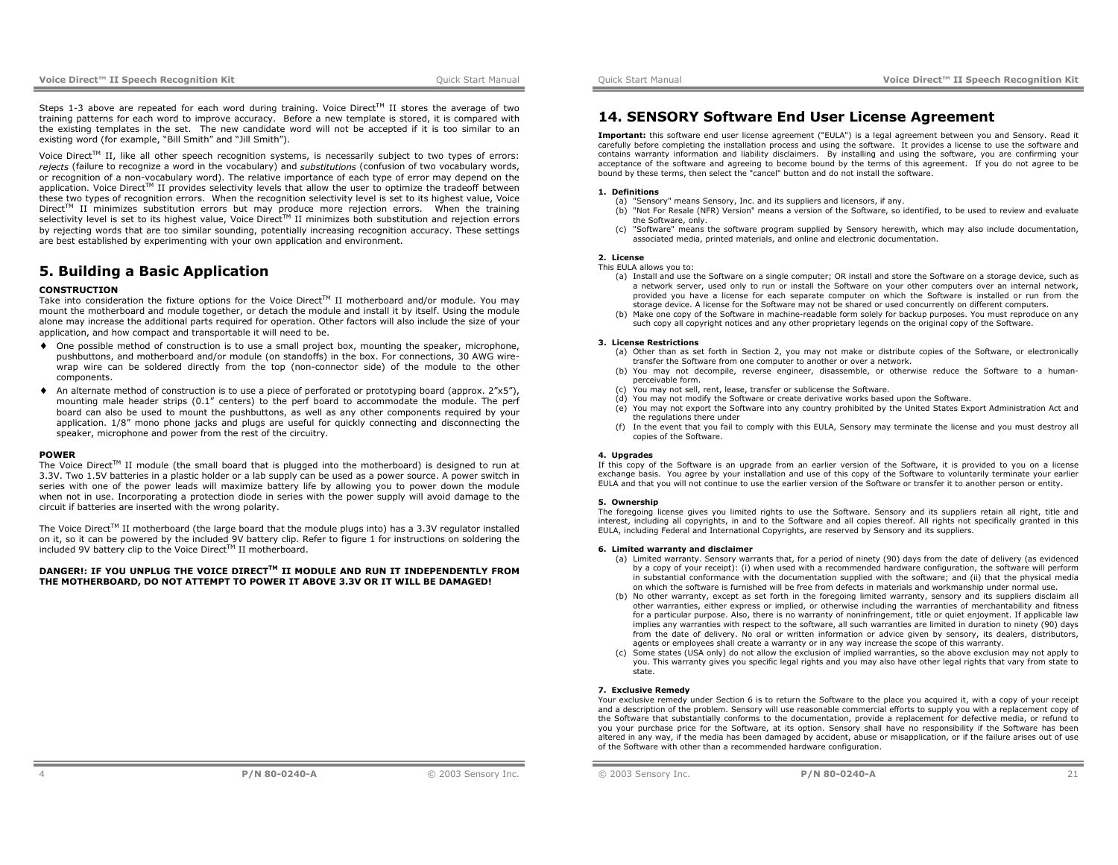Steps 1-3 above are repeated for each word during training. Voice Direct<sup>TM</sup> II stores the average of two training patterns for each word to improve accuracy. Before a new template is stored, it is compared with the existing templates in the set. The new candidate word will not be accepted if it is too similar to an existing word (for example, "Bill Smith" and "Jill Smith").

Voice Direct<sup>TM</sup> II, like all other speech recognition systems, is necessarily subject to two types of errors: *rejects* (failure to recognize a word in the vocabulary) and *substitutions* (confusion of two vocabulary words, or recognition of a non-vocabulary word). The relative importance of each type of error may depend on the application. Voice Direct<sup>TM</sup> II provides selectivity levels that allow the user to optimize the tradeoff between these two types of recognition errors. When the recognition selectivity level is set to its highest value, Voice Direct<sup>TM</sup> II minimizes substitution errors but may produce more rejection errors. When the training selectivity level is set to its highest value. Voice Direct™ II minimizes both substitution and rejection errors by rejecting words that are too similar sounding, potentially increasing recognition accuracy. These settings are best established by experimenting with your own application and environment.

# **5. Building a Basic Application**

### **CONSTRUCTION**

Take into consideration the fixture options for the Voice Direct™ II motherboard and/or module. You may mount the motherboard and module together, or detach the module and install it by itself. Using the module alone may increase the additional parts required for operation. Other factors will also include the size of your application, and how compact and transportable it will need to be.

- ♦ One possible method of construction is to use a small project box, mounting the speaker, microphone, pushbuttons, and motherboard and/or module (on standoffs) in the box. For connections, 30 AWG wirewrap wire can be soldered directly from the top (non-connector side) of the module to the other components.
- ♦ An alternate method of construction is to use a piece of perforated or prototyping board (approx. 2"x5"), mounting male header strips (0.1" centers) to the perf board to accommodate the module. The perf board can also be used to mount the pushbuttons, as well as any other components required by your application. 1/8" mono phone jacks and plugs are useful for quickly connecting and disconnecting the speaker, microphone and power from the rest of the circuitry.

#### **POWER**

The Voice Direct<sup>TM</sup> II module (the small board that is plugged into the motherboard) is designed to run at 3.3V. Two 1.5V batteries in a plastic holder or a lab supply can be used as a power source. A power switch in series with one of the power leads will maximize battery life by allowing you to power down the module when not in use. Incorporating a protection diode in series with the power supply will avoid damage to the circuit if batteries are inserted with the wrong polarity.

The Voice Direct™ II motherboard (the large board that the module plugs into) has a 3.3V regulator installed on it, so it can be powered by the included 9V battery clip. Refer to figure 1 for instructions on soldering the included 9V battery clip to the Voice Direct™ II motherboard.

# **DANGER!: IF YOU UNPLUG THE VOICE DIRECTTM II MODULE AND RUN IT INDEPENDENTLY FROM THE MOTHERBOARD, DO NOT ATTEMPT TO POWER IT ABOVE 3.3V OR IT WILL BE DAMAGED!**

# **14. SENSORY Software End User License Agreement**

**Important:** this software end user license agreement ("EULA") is a legal agreement between you and Sensory. Read it carefully before completing the installation process and using the software. It provides a license to use the software and contains warranty information and liability disclaimers. By installing and using the software, you are confirming your acceptance of the software and agreeing to become bound by the terms of this agreement. If you do not agree to be bound by these terms, then select the "cancel" button and do not install the software.

#### **1. Definitions**

- (a) "Sensory" means Sensory, Inc. and its suppliers and licensors, if any.
- (b) "Not For Resale (NFR) Version" means a version of the Software, so identified, to be used to review and evaluate the Software, only.
- (c) "Software" means the software program supplied by Sensory herewith, which may also include documentation, associated media, printed materials, and online and electronic documentation.

#### **2. License**

#### This EULA allows you to:

- (a) Install and use the Software on a single computer; OR install and store the Software on a storage device, such as a network server, used only to run or install the Software on your other computers over an internal network, provided you have a license for each separate computer on which the Software is installed or run from the storage device. A license for the Software may not be shared or used concurrently on different computers.
- (b) Make one copy of the Software in machine-readable form solely for backup purposes. You must reproduce on any such copy all copyright notices and any other proprietary legends on the original copy of the Software.

#### **3. License Restrictions**

- (a) Other than as set forth in Section 2, you may not make or distribute copies of the Software, or electronically transfer the Software from one computer to another or over a network.
- (b) You may not decompile, reverse engineer, disassemble, or otherwise reduce the Software to a humanperceivable form.
- .<br>You may not sell, rent, lease, transfer or sublicense the Software.
- (d) You may not modify the Software or create derivative works based upon the Software.
- (e) You may not export the Software into any country prohibited by the United States Export Administration Act and the regulations there under
- (f) In the event that you fail to comply with this EULA, Sensory may terminate the license and you must destroy all copies of the Software.

### **4. Upgrades**

If this copy of the Software is an upgrade from an earlier version of the Software, it is provided to you on a license exchange basis. You agree by your installation and use of this copy of the Software to voluntarily terminate your earlier EULA and that you will not continue to use the earlier version of the Software or transfer it to another person or entity.

#### **5. Ownership**

The foregoing license gives you limited rights to use the Software. Sensory and its suppliers retain all right, title and interest, including all copyrights, in and to the Software and all copies thereof. All rights not specifically granted in this EULA, including Federal and International Copyrights, are reserved by Sensory and its suppliers.

#### **6. Limited warranty and disclaimer**

- (a) Limited warranty. Sensory warrants that, for a period of ninety (90) days from the date of delivery (as evidenced by a copy of your receipt): (i) when used with a recommended hardware configuration, the software will perform in substantial conformance with the documentation supplied with the software; and (ii) that the physical media on which the software is furnished will be free from defects in materials and workmanship under normal use.
- (b) No other warranty, except as set forth in the foregoing limited warranty, sensory and its suppliers disclaim all other warranties, either express or implied, or otherwise including the warranties of merchantability and fitness for a particular purpose. Also, there is no warranty of noninfringement, title or quiet enjoyment. If applicable law implies any warranties with respect to the software, all such warranties are limited in duration to ninety (90) days from the date of delivery. No oral or written information or advice given by sensory, its dealers, distributors, agents or employees shall create a warranty or in any way increase the scope of this warranty.
- (c) Some states (USA only) do not allow the exclusion of implied warranties, so the above exclusion may not apply to you. This warranty gives you specific legal rights and you may also have other legal rights that vary from state to state.

#### **7. Exclusive Remedy**

Your exclusive remedy under Section 6 is to return the Software to the place you acquired it, with a copy of your receipt and a description of the problem. Sensory will use reasonable commercial efforts to supply you with a replacement copy of the Software that substantially conforms to the documentation, provide a replacement for defective media, or refund to you your purchase price for the Software, at its option. Sensory shall have no responsibility if the Software has been altered in any way, if the media has been damaged by accident, abuse or misapplication, or if the failure arises out of use of the Software with other than a recommended hardware configuration.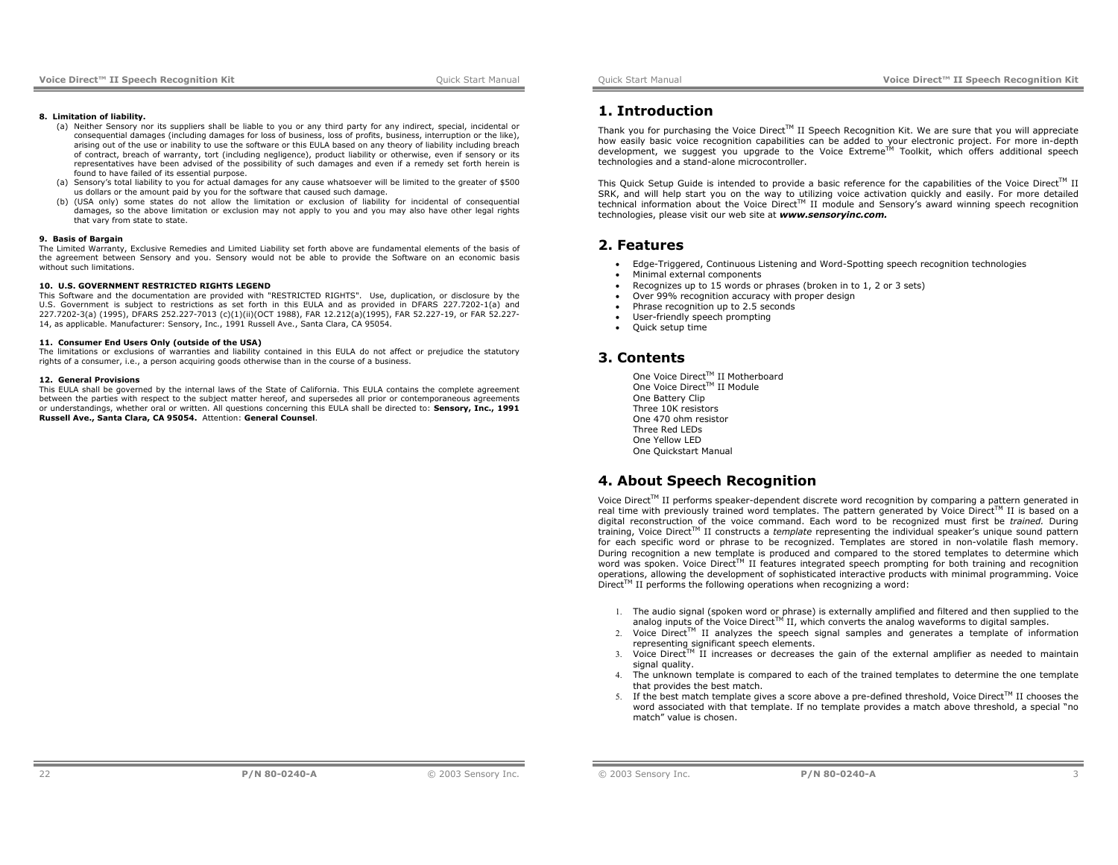#### **8. Limitation of liability.**

- (a) Neither Sensory nor its suppliers shall be liable to you or any third party for any indirect, special, incidental or consequential damages (including damages for loss of business, loss of profits, business, interruption or the like), arising out of the use or inability to use the software or this EULA based on any theory of liability including breach of contract, breach of warranty, tort (including negligence), product liability or otherwise, even if sensory or its representatives have been advised of the possibility of such damages and even if a remedy set forth herein is found to have failed of its essential purpose.
- (a) Sensory's total liability to you for actual damages for any cause whatsoever will be limited to the greater of \$500 us dollars or the amount paid by you for the software that caused such damage.
- (b) (USA only) some states do not allow the limitation or exclusion of liability for incidental of consequential damages, so the above limitation or exclusion may not apply to you and you may also have other legal rights that vary from state to state.

#### **9. Basis of Bargain**

The Limited Warranty, Exclusive Remedies and Limited Liability set forth above are fundamental elements of the basis of the agreement between Sensory and you. Sensory would not be able to provide the Software on an economic basis without such limitations.

#### **10. U.S. GOVERNMENT RESTRICTED RIGHTS LEGEND**

 This Software and the documentation are provided with "RESTRICTED RIGHTS". Use, duplication, or disclosure by the U.S. Government is subject to restrictions as set forth in this EULA and as provided in DFARS 227.7202-1(a) and 227.7202-3(a) (1995), DFARS 252.227-7013 (c)(1)(ii)(OCT 1988), FAR 12.212(a)(1995), FAR 52.227-19, or FAR 52.227- 14, as applicable. Manufacturer: Sensory, Inc., 1991 Russell Ave., Santa Clara, CA 95054.

#### **11. Consumer End Users Only (outside of the USA)**

The limitations or exclusions of warranties and liability contained in this EULA do not affect or prejudice the statutory rights of a consumer, i.e., a person acquiring goods otherwise than in the course of a business.

#### **12. General Provisions**

 This EULA shall be governed by the internal laws of the State of California. This EULA contains the complete agreement between the parties with respect to the subject matter hereof, and supersedes all prior or contemporaneous agreements or understandings, whether oral or written. All questions concerning this EULA shall be directed to: **Sensory, Inc., 1991 Russell Ave., Santa Clara, CA 95054.** Attention: **General Counsel**.

# **1. Introduction**

Thank you for purchasing the Voice Direct<sup>TM</sup> II Speech Recognition Kit. We are sure that you will appreciate how easily basic voice recognition capabilities can be added to your electronic project. For more in-depth development, we suggest you upgrade to the Voice Extreme<sup>TM</sup> Toolkit, which offers additional speech technologies and a stand-alone microcontroller.

This Quick Setup Guide is intended to provide a basic reference for the capabilities of the Voice Direct™ II SRK, and will help start you on the way to utilizing voice activation quickly and easily. For more detailed technical information about the Voice Direct™ II module and Sensory's award winning speech recognition technologies, please visit our web site at *www.sensoryinc.com.*

# **2. Features**

- Edge-Triggered, Continuous Listening and Word-Spotting speech recognition technologies
- Minimal external components
- Recognizes up to 15 words or phrases (broken in to 1, 2 or 3 sets)
- Over 99% recognition accuracy with proper design
- Phrase recognition up to 2.5 seconds
- User-friendly speech prompting
- Ouick setup time

# **3. Contents**

One Voice Direct™ II Motherboard One Voice Direct™ II Module One Battery Clip Three 10K resistors One 470 ohm resistor Three Red LEDs One Yellow LED One Quickstart Manual

# **4. About Speech Recognition**

Voice Direct<sup>TM</sup> II performs speaker-dependent discrete word recognition by comparing a pattern generated in real time with previously trained word templates. The pattern generated by Voice Direct<sup>TM</sup> II is based on a digital reconstruction of the voice command. Each word to be recognized must first be *trained.* During training, Voice Direct™ II constructs a *template* representing the individual speaker's unique sound pattern for each specific word or phrase to be recognized. Templates are stored in non-volatile flash memory. During recognition a new template is produced and compared to the stored templates to determine which word was spoken. Voice Direct™ II features integrated speech prompting for both training and recognition operations, allowing the development of sophisticated interactive products with minimal programming. Voice  $Direct^M$  II performs the following operations when recognizing a word:

- 1. The audio signal (spoken word or phrase) is externally amplified and filtered and then supplied to the analog inputs of the Voice Direct<sup>TM</sup> II, which converts the analog waveforms to digital samples.
- 2. Voice Direct<sup>TM</sup> II analyzes the speech signal samples and generates a template of information representing significant speech elements.
- 3. Voice Direct<sup>TM</sup> II increases or decreases the gain of the external amplifier as needed to maintain signal quality.
- 4. The unknown template is compared to each of the trained templates to determine the one template that provides the best match.
- 5. If the best match template gives a score above a pre-defined threshold, Voice Direct<sup>TM</sup> II chooses the word associated with that template. If no template provides a match above threshold, a special "no match" value is chosen.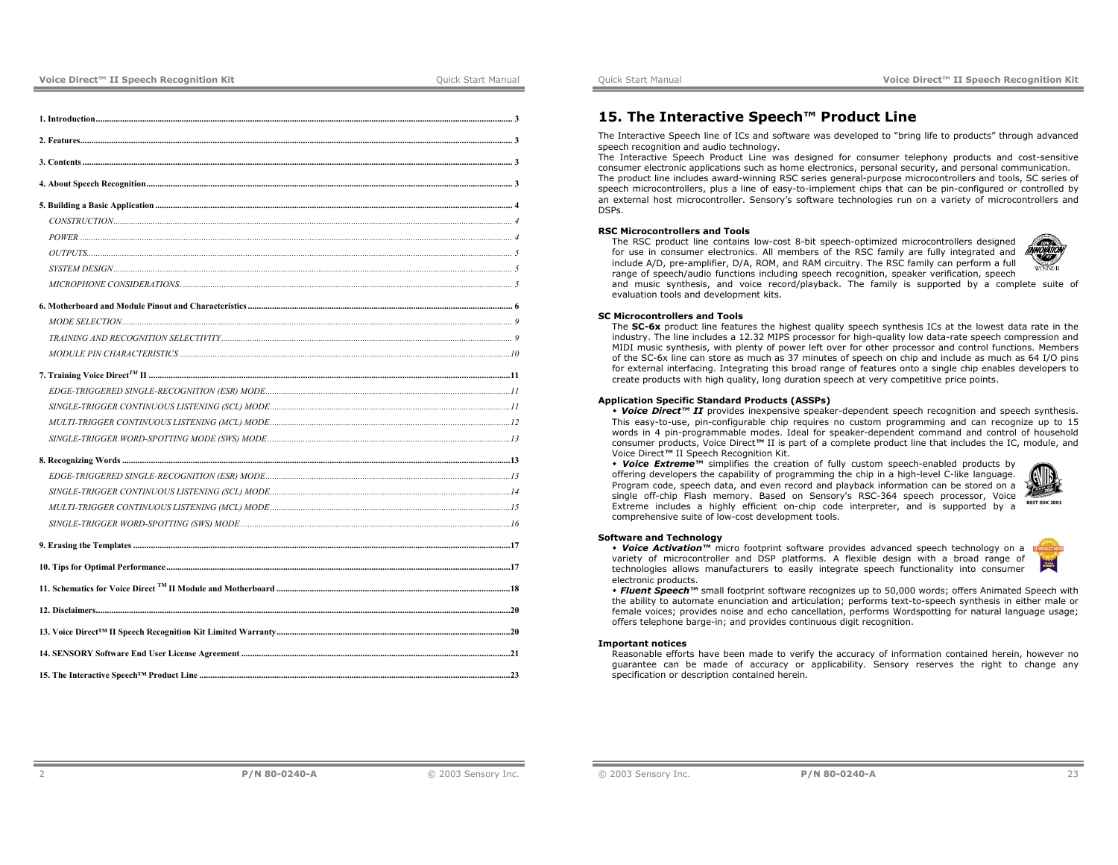| 9 |  |
|---|--|
|   |  |
|   |  |
|   |  |
|   |  |
|   |  |
|   |  |
|   |  |
|   |  |
|   |  |
|   |  |
|   |  |
|   |  |
|   |  |
|   |  |
|   |  |
|   |  |
|   |  |
|   |  |

# **15. The Interactive Speech™ Product Line**

The Interactive Speech line of ICs and software was developed to "bring life to products" through advanced speech recognition and audio technology.

The Interactive Speech Product Line was designed for consumer telephony products and cost-sensitive consumer electronic applications such as home electronics, personal security, and personal communication. The product line includes award-winning RSC series general-purpose microcontrollers and tools, SC series of speech microcontrollers, plus a line of easy-to-implement chips that can be pin-configured or controlled by an external host microcontroller. Sensory's software technologies run on a variety of microcontrollers and DSPs.

### **RSC Microcontrollers and Tools**

 The RSC product line contains low-cost 8-bit speech-optimized microcontrollers designed for use in consumer electronics. All members of the RSC family are fully integrated and include A/D, pre-amplifier, D/A, ROM, and RAM circuitry. The RSC family can perform a full range of speech/audio functions including speech recognition, speaker verification, speech

and music synthesis, and voice record/playback. The family is supported by a complete suite of evaluation tools and development kits.

## **SC Microcontrollers and Tools**

 The **SC-6x** product line features the highest quality speech synthesis ICs at the lowest data rate in the industry. The line includes a 12.32 MIPS processor for high-quality low data-rate speech compression and MIDI music synthesis, with plenty of power left over for other processor and control functions. Members of the SC-6x line can store as much as 37 minutes of speech on chip and include as much as 64 I/O pins for external interfacing. Integrating this broad range of features onto a single chip enables developers to create products with high quality, long duration speech at very competitive price points.

# **Application Specific Standard Products (ASSPs)**

 *Voice Direct™ II* provides inexpensive speaker-dependent speech recognition and speech synthesis. This easy-to-use, pin-configurable chip requires no custom programming and can recognize up to 15 words in 4 pin-programmable modes. Ideal for speaker-dependent command and control of household consumer products, Voice Direct*™* II is part of a complete product line that includes the IC, module, and Voice Direct*™* II Speech Recognition Kit.

 *Voice Extreme™* simplifies the creation of fully custom speech-enabled products by offering developers the capability of programming the chip in a high-level C-like language. Program code, speech data, and even record and playback information can be stored on a single off-chip Flash memory. Based on Sensory's RSC-364 speech processor, Voice **BEST SDK 2001** Extreme includes a highly efficient on-chip code interpreter, and is supported by a comprehensive suite of low-cost development tools.

#### **Software and Technology**

 *Voice Activation™* micro footprint software provides advanced speech technology on a variety of microcontroller and DSP platforms. A flexible design with a broad range of technologies allows manufacturers to easily integrate speech functionality into consumer electronic products.

offers telephone barge-in; and provides continuous digit recognition.



 *Fluent Speech™* small footprint software recognizes up to 50,000 words; offers Animated Speech with the ability to automate enunciation and articulation; performs text-to-speech synthesis in either male or female voices; provides noise and echo cancellation, performs Wordspotting for natural language usage;

#### **Important notices**

Reasonable efforts have been made to verify the accuracy of information contained herein, however no guarantee can be made of accuracy or applicability. Sensory reserves the right to change any specification or description contained herein.